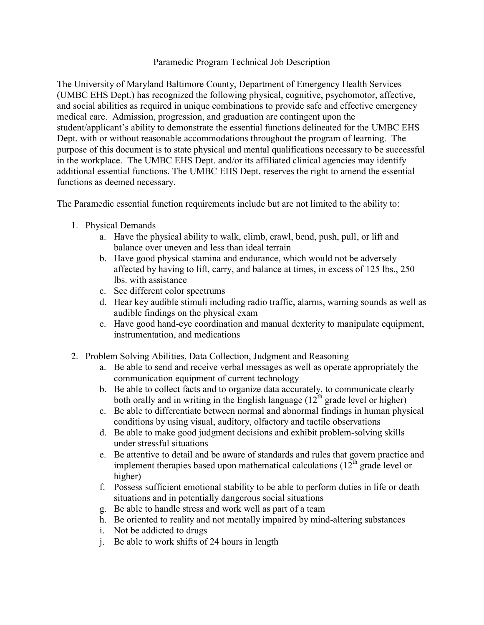## Paramedic Program Technical Job Description

The University of Maryland Baltimore County, Department of Emergency Health Services (UMBC EHS Dept.) has recognized the following physical, cognitive, psychomotor, affective, and social abilities as required in unique combinations to provide safe and effective emergency medical care. Admission, progression, and graduation are contingent upon the student/applicant's ability to demonstrate the essential functions delineated for the UMBC EHS Dept. with or without reasonable accommodations throughout the program of learning. The purpose of this document is to state physical and mental qualifications necessary to be successful in the workplace. The UMBC EHS Dept. and/or its affiliated clinical agencies may identify additional essential functions. The UMBC EHS Dept. reserves the right to amend the essential functions as deemed necessary.

The Paramedic essential function requirements include but are not limited to the ability to:

- 1. Physical Demands
	- a. Have the physical ability to walk, climb, crawl, bend, push, pull, or lift and balance over uneven and less than ideal terrain
	- b. Have good physical stamina and endurance, which would not be adversely affected by having to lift, carry, and balance at times, in excess of 125 lbs., 250 lbs. with assistance
	- c. See different color spectrums
	- d. Hear key audible stimuli including radio traffic, alarms, warning sounds as well as audible findings on the physical exam
	- e. Have good hand-eye coordination and manual dexterity to manipulate equipment, instrumentation, and medications
- 2. Problem Solving Abilities, Data Collection, Judgment and Reasoning
	- a. Be able to send and receive verbal messages as well as operate appropriately the communication equipment of current technology
	- b. Be able to collect facts and to organize data accurately, to communicate clearly both orally and in writing in the English language  $(12<sup>th</sup>$  grade level or higher)
	- c. Be able to differentiate between normal and abnormal findings in human physical conditions by using visual, auditory, olfactory and tactile observations
	- d. Be able to make good judgment decisions and exhibit problem-solving skills under stressful situations
	- e. Be attentive to detail and be aware of standards and rules that govern practice and implement therapies based upon mathematical calculations  $(12<sup>th</sup>$  grade level or higher)
	- f. Possess sufficient emotional stability to be able to perform duties in life or death situations and in potentially dangerous social situations
	- g. Be able to handle stress and work well as part of a team
	- h. Be oriented to reality and not mentally impaired by mind-altering substances
	- i. Not be addicted to drugs
	- j. Be able to work shifts of 24 hours in length